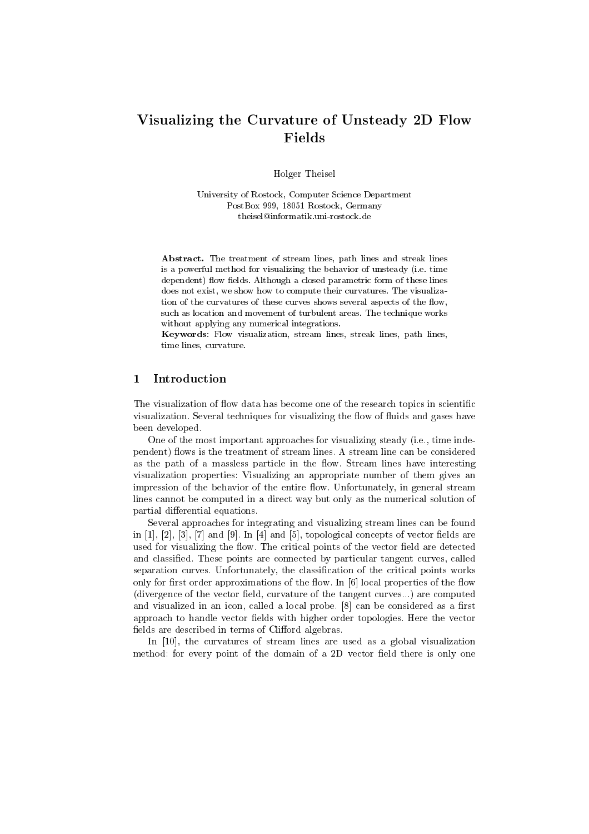# Visualizing the Curvature of Unsteady D Flow Fields

Holger Theisel

University of Rostock Computer Science Department records and the second control of the second control of the second control of the second control of the second control of the second control of the second control of the second control of the second control of the second c theisel@informatik.uni-rostock.de

Abstract. The treatment of stream lines, path lines and streak lines is a powerful method for visualizing the behavior of unsteady (i.e. time are constant, which are constant for the constant parameters and the constant form of the constant of the const does not exist, we show how to compute their curvatures. The visualization of the curvatures of these curves shows several aspects of the flow, such as location and movement of turbulent areas The technique works without applying any numerical integrations

Keywords: Flow visualization, stream lines, streak lines, path lines, time lines, curvature.

#### $\mathbf{1}$ **Introduction**

The visualization of flow data has become one of the research topics in scientific visualization- Several techniques for visualizing the ow of uids and gases have been developed.

of the most important approaches for production and visualizing steady index index approaches the contract of pendent ows is the treatment of stream lines- A stream line can be considered as the path of a massless particle in the ow- Stream lines have interesting visualization properties: Visualizing an appropriate number of them gives an impression of the behavior of the entire ow- Unfortunately in general stream lines cannot be computed in a direct way but only as the numerical solution of partial differential equations.

Several approaches for integrating and visualizing stream lines can be found in and in the state of the state of vector and and and and and and are stated as a state of vector elds are st  $\mathbf{f}$  the critical points of the vector eld are detected are detected are detected are detected are detected and classied- These points are connected by particular tangent curves called separation curves- correction curves-  $\mathcal{L}_{\mathcal{A}}$  the classication of the critical points works works only for more control mp proximations of the owe- in local properties of the owe- and the ow-, are computed to the vector eld curvature of the tangent curvature of the tangent curvature of the tangent curvature and visualized in an icon called a local probes as a role of the considered as a resolution of the constant approach to handle vector elds with higher order topologies- Here the vector fields are described in terms of Clifford algebras.

In a group of stream lines are used as a global visualization of  $\pi$ method: for every point of the domain of a 2D vector field there is only one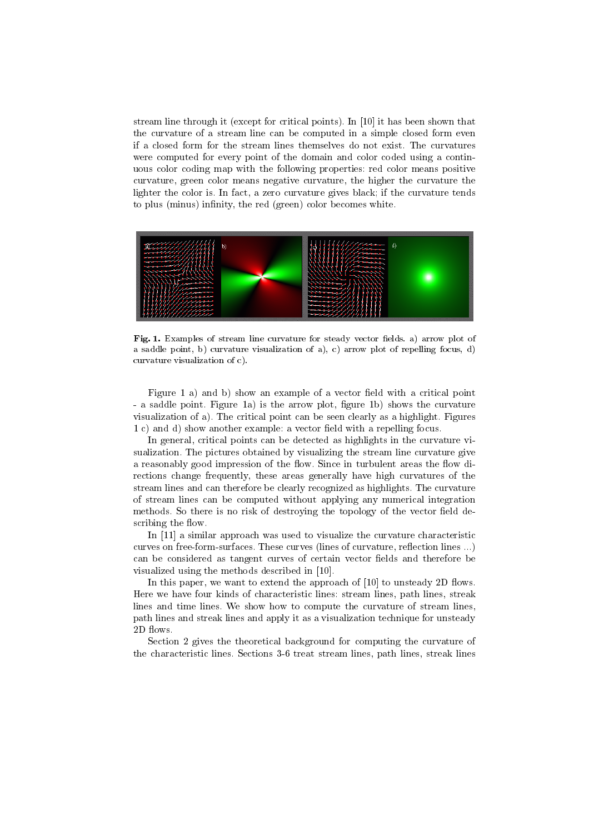strate the through it (through for critical points-) we pay it has been shown that  $\sim$ the curvature of a stream line can be computed in a simple closed form even were computed for every point of the domain and color coded using a contin uous color coding map with the following properties red color means positive curvature, green color means negative curvature, the higher the curvature the lighter the color is-color is-color is-color is-color is-color is-color is-color is-color is-color is-color isto plus (minus) infinity, the red (green) color becomes white.



Fig Examples of stream line curvature for steady vector elds a arrow plot of a saddle point based of a saddle point based of a curvature visualization of a curvature visualization of a cu curvature visualization of curvature visualization of curvature visualization of curvature visualization of cu

Figure a and b show an example of a vector eld with a critical point a saddle point- is the arrow of the curvature plot is the curvature of the curvature of the curvature of the c  $\alpha$  is critical and all points can be seen called a distance can be seen as a highlight-distance  $\alpha$  and  $\alpha$ c and d show and d show and decreasing for a vector example as vector as  $\epsilon$  and  $\epsilon$ 

In general, critical points can be detected as highlights in the curvature visualization-the pictures obtained by visualizing the stream line curvature give give a reasonably good impression of the ow- Since in turbulent areas the ow di rections change frequently these areas generally have high curvatures of the stream lines and can therefore be clearly recognized as highlights- The curvature of stream lines can be computed without applying any numerical integration methods- So there is no risk of destroying the topology of the vector eld de scribing the flow.

in in a similar was used to visualize the contracteristic terms of the curvature complete the contracteristic curves on freeformsurfaces- These curves lines of curvature reection lines -- can be considered as tangent curves of certain vector fields and therefore be  $\mathbf{u}$  the methods described in  $\mathbf{u}$  and  $\mathbf{u}$  and  $\mathbf{u}$  and  $\mathbf{u}$  and  $\mathbf{u}$  and  $\mathbf{u}$  and  $\mathbf{u}$  and  $\mathbf{u}$  and  $\mathbf{u}$  and  $\mathbf{u}$  and  $\mathbf{u}$  and  $\mathbf{u}$  and  $\mathbf{u}$  and  $\mathbf{u}$  and  $\mathbf{$ 

In this paper we want to extend the approach of  $\Gamma$  . The approach of  $\Gamma$  ows-Here we have four kinds of characteristic lines: stream lines, path lines, streak lines and time lines- We show how to compute the curvature of stream lines path lines and streak lines and apply it as a visualization technique for unsteady 2D flows.

Section 2 gives the theoretical background for computing the curvature of the characteristic lines stream lines-lines in the stream lines path lines path lines stream lines to the comp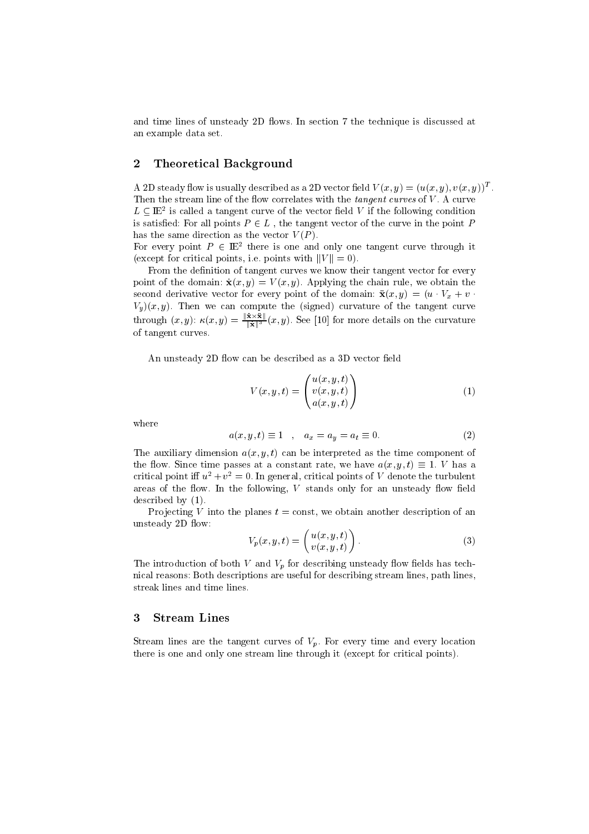and time is the section of  $\alpha$  and the technical contracts of the technique is discussed at  $\alpha$ an example data set.

#### 2 Theoretical Background

A 2D steady now is usually described as a 2D vector neight  $V(x, y) = (u(x, y), v(x, y))^{\top}$ . Then the stream line of the ow correlates with the tangent curves of <sup>V</sup> - A curve  $L \subseteq I\!\!E^-$  is called a tangent curve of the vector field  $V$  if the following condition is satisfied: For all points  $P \in L$ , the tangent vector of the curve in the point P has the same direction as the vector  $V(P)$ .

For every point  $P \in \mathbb{H}^+$  there is one and only one tangent curve through it  $\mathcal{L}$  for contracting points is point if  $\mathcal{L}$  if  $\mathcal{L}$  , with  $\mathcal{L}$ 

From the definition of tangent curves we know their tangent vector for every  $p \sim 1$  , we obtain  $\mathcal{L}[\mathcal{N}(\mathcal{Y})] = \mathcal{N}(\mathcal{N}(\mathcal{Y})]$  . The chain rule we obtain the second derivative vector for every point of the domain.  $\mathbf{x}(w, y) = \mathbf{w} \cdot \mathbf{v}$  is  $\mathbf{v} = \mathbf{w} \cdot \mathbf{v}$  $\mathcal{L}_{y}(\omega, y)$ . Then we can compute the  $\omega$ <sub>i</sub>gned curvature of the tangent curve through  $(x, y)$ :  $\kappa(x, y) = \frac{y}{\|\mathbf{x}\|^3}$   $(x, y)$ . See [10] for more details on the curvature of tangent curves-

An unsteady 2D flow can be described as a 3D vector field

$$
V(x, y, t) = \begin{pmatrix} u(x, y, t) \\ v(x, y, t) \\ a(x, y, t) \end{pmatrix}
$$
 (1)

where

$$
a(x, y, t) \equiv 1 \quad , \quad a_x = a_y = a_t \equiv 0. \tag{2}
$$

The auxiliary dimension  $a(x, y, t)$  can be interpreted as the time component of  $\alpha$  is the state of the passes at a constant rate, we have  $\alpha_1 \alpha_1 \beta_1 \gamma_1 = 1$ . Thus  $\alpha$ critical point in  $u^- + v^- = 0$ . In general, critical points of V denote the turbulent areas of the following and the following v standard viny following variously for a material contract of the st description of the contract of the contract of the contract of the contract of the contract of the contract of

Projecting V into the planes  $t = \text{const}$ , we obtain another description of an unsteady 2D flow:

$$
V_p(x, y, t) = \begin{pmatrix} u(x, y, t) \\ v(x, y, t) \end{pmatrix}.
$$
 (3)

The introduction of both V and  $V_p$  for describing unsteady flow fields has technical reasons: Both descriptions are useful for describing stream lines, path lines, streak lines and time lines-

#### Stream Lines 3

 $S$  is the tangent curve completed curves of  $V$  p-form and every location  $\mathcal{S}$  , and every location of  $\mathcal{S}$ there is one and only one stream line through it (except for critical points).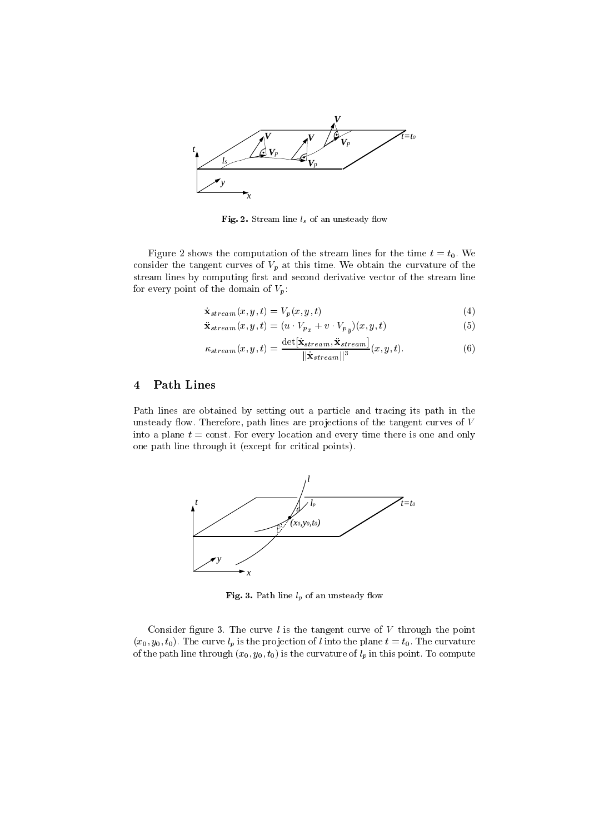

- Stream line lands in the stream line lands of an unstanding over the stream of the stream of the stream of the stream of the stream of the stream of the stream of the stream of the stream of the stream of the stream of t

Figure  shows the computation of the stream lines for the time <sup>t</sup> t- We consider the tangent curves of Vp at this time- We obtain this time-this time-this timestream lines by computing first and second derivative vector of the stream line for every point of the domain of  $V_p$ :

$$
\dot{\mathbf{x}}_{stream}(x, y, t) = V_p(x, y, t)
$$
\n(4)

$$
\ddot{\mathbf{x}}_{stream}(x, y, t) = (u \cdot V_{p_x} + v \cdot V_{p_y})(x, y, t)
$$
\n
$$
(5)
$$

$$
\kappa_{stream}(x, y, t) = \frac{\det[\dot{\mathbf{x}}_{stream}, \ddot{\mathbf{x}}_{stream}]}{\|\dot{\mathbf{x}}_{stream}\|^3}(x, y, t).
$$
\n(6)

## Path Lines

Path lines are obtained by setting out a particle and tracing its path in the unsteady over path lines are procedure the tangent curves of the tangent curves of the tangent curves of  $\mathcal{L}$ into a planet to constant match and every location and every location and one and only the constants of the co one path line through it (except for critical points).



Fig. 3. Path line  $l_p$  of an unsteady flow

comments in general curve in the curve of  $\alpha$  through the curve of  $\alpha$  through the point of  $\alpha$  $\{w_0, y_0, v_0\}$  . The car very is the projection of value site plane  $v = v_0$  . The carvature of the path line through  $\{w_0, y_0, v_0\}$  is the carvature of  $\eta$  in this point. To compute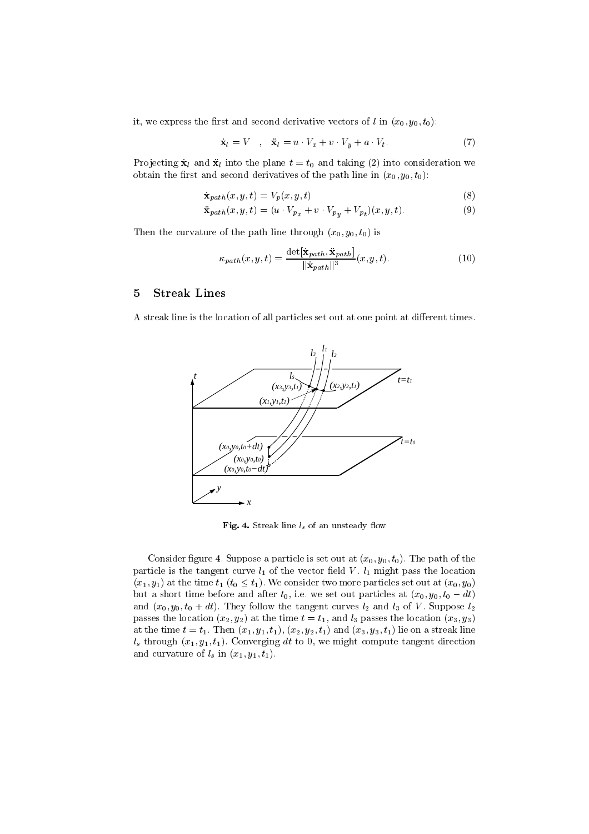it, we express the first and second derivative vectors of l in  $(x_0, y_0, t_0)$ :

$$
\dot{\mathbf{x}}_l = V \quad , \quad \ddot{\mathbf{x}}_l = u \cdot V_x + v \cdot V_y + a \cdot V_t \tag{7}
$$

Pro jecting x <sup>l</sup> and xl into the plane t t and taking  into consideration we obtain the first and second derivatives of the path line in  $(x_0, y_0, t_0)$ :

$$
\dot{\mathbf{x}}_{path}(x, y, t) = V_p(x, y, t) \tag{8}
$$

$$
\ddot{\mathbf{x}}_{path}(x, y, t) = (u \cdot V_{p_x} + v \cdot V_{p_y} + V_{p_t})(x, y, t).
$$
\n(9)

Then the curvature of the path line through  $(x_0, y_0, t_0)$  is

$$
\kappa_{path}(x, y, t) = \frac{\det[\dot{\mathbf{x}}_{path}, \ddot{\mathbf{x}}_{path}]}{||\dot{\mathbf{x}}_{path}||^3}(x, y, t).
$$
\n(10)

### 5 Streak Lines

A streak line is the location of all particles set out at one point at different times.



Fig. 4. Streak line  $l_s$  of an unsteady flow

Consider again is appointed particle is set out at  $(w_0, y_0, v_0)$ . The path of the particle is the tangent curve later the vector eld value  $\mathbf{u}$  of the vector eld value  $\mathbf{u}$  $\{x_1, y_1\}$  at the time that  $\{y_0 \geq x_1\}$  , we consider two more particles set out at  $\{x_0, y_0\}$ but a short time before and after t i-e- we set out particles at x y t dt and x y t dt- They follow the tangent curves l and l of <sup>V</sup> - Suppose l passes the location  $(x_2, y_2)$  at the time  $t = t_1$ , and  $l_3$  passes the location  $(x_3, y_3)$  $\alpha$  and time to the transmit  $\{w_1, y_1, v_1, v_2, y_2, v_1\}$  and  $\{w_0, y_0, v_1\}$  ine on a stream into  $\alpha_s$  chrough  $\alpha_{1}, \beta_{1}, \gamma_{1}, \gamma_{2}, \gamma_{3}$  converging do to  $\alpha_{1}$  we might compute tangent direction and curvature of  $l_s$  in  $(x_1, y_1, t_1)$ .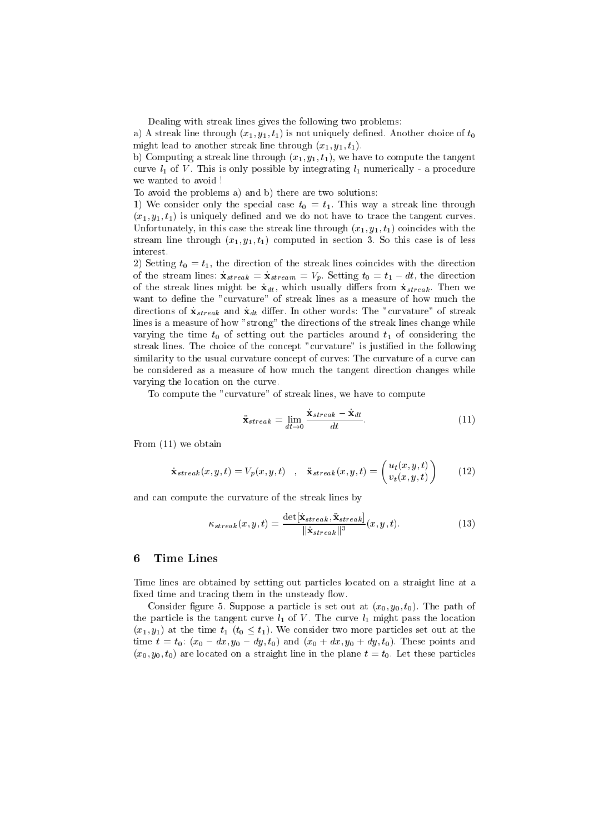Dealing with streak lines gives the following two problems

 $\alpha$  and  $\alpha$  and  $\alpha$  is the  $\alpha$   $\alpha$  is not uniquely denoted. Through choice of  $\alpha$ might lead to another streak line through  $(x_1, y_1, t_1)$ .

b) Computing a streak line through  $(x_1, y_1, t_1)$ , we have to compute the tangent curve la curve more and curve possible by integrating la momentum l a procedure and we wanted to avoid

To avoid the problems a) and b) there are two solutions:

We consider the special case the special case the special case through  $\mathbf{u}$  $(x_1, y_1, t_1)$  is uniquely defined and we do not have to trace the tangent curves. Unfortunately, in this case the streak line through  $(x_1, y_1, t_1)$  coincides with the stream line through x y t computed in section - So this case is of less interest.

2) Setting  $t_0 = t_1$ , the direction of the streak lines coincides with the direction  $\sigma$  to the stream interest the stream interest of the direction of  $\sigma$  $\Omega$  the streak lines might be streak -  $\sigma$  and  $\sigma$  streak -  $\sigma$ want to define the "curvature" of streak lines as a measure of how much the directions of traditions the curvature of stream words the curvature of stream and curvature of stream of stream lines is a measure of how "strong" the directions of the streak lines change while varying the time  $t_0$  of setting out the particles around  $t_1$  of considering the stream and choice of the concept curvature is justified in the following  $\sim$ similarity to the usual curvature concept of curves: The curvature of a curve can be considered as a measure of how much the tangent direction changes while varying the location on the curve-

To compute the "curvature" of streak lines, we have to compute

$$
\ddot{\mathbf{x}}_{streak} = \lim_{dt \to 0} \frac{\dot{\mathbf{x}}_{streak} - \dot{\mathbf{x}}_{dt}}{dt}.
$$
\n(11)

 $\mathbf{F}$  and  $\mathbf{F}$  are obtained by the contract of the contract of the contract of the contract of the contract of the contract of the contract of the contract of the contract of the contract of the contract of the con

$$
\dot{\mathbf{x}}_{stream}(x, y, t) = V_p(x, y, t) \quad , \quad \ddot{\mathbf{x}}_{stream}(x, y, t) = \begin{pmatrix} u_t(x, y, t) \\ v_t(x, y, t) \end{pmatrix} \tag{12}
$$

and can compute the curvature of the streak lines by

$$
\kappa_{streak}(x,y,t) = \frac{\det[\dot{\mathbf{x}}_{streak}, \ddot{\mathbf{x}}_{streak}]}{||\dot{\mathbf{x}}_{streak}||^3}(x,y,t).
$$
 (13)

### 6 Time Lines

Time lines are obtained by setting out particles located on a straight line at a fixed time and tracing them in the unsteady flow.

Consider gure -Suppose a particle is set out at x y t- The path of the particle is the tangent curve l of V - The curve l might pass pass the locations  $\left\{ w_1, y_1 \right\}$  at the time  $\left\{ v_1, v_2 \right\}$ , we consider two more particles set out at the  $\alpha$  these  $\alpha$  th  $\alpha$  and  $\alpha$  and  $\alpha$  and  $\alpha$  and  $\alpha$  and  $\alpha$  and  $\alpha$  and  $\alpha$  and  $\alpha$  and  $\alpha$  $\{w_0, y_0, v_0\}$  are received on a straight line in the plane  $t = v_0$ . Here these particles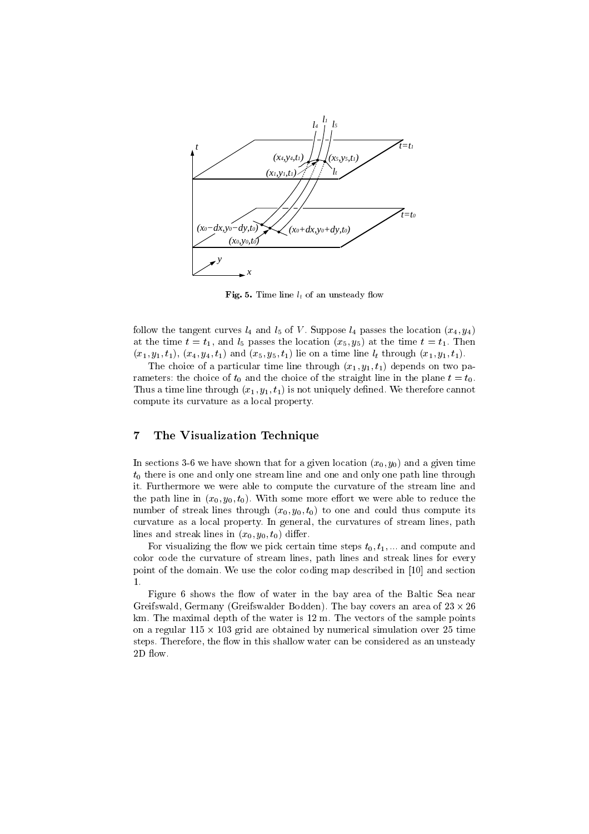

Fig. 5. Time line  $l_t$  of an unsteady flow

follow the tangent curves  $\epsilon_4$  and  $\epsilon_5$  of  $V$  -suppose  $\epsilon_4$  passes the location  $\chi_{\alpha_4}$ ,  $\chi_{\beta_4}$ at the time  $t = v_1$ , and  $v_0$  passes the location  $\{w_0\}$ ,  $y_0$  at the time  $t = v_1$ . Then  $(x_1, y_1, t_1), (x_4, y_4, t_1)$  and  $(x_5, y_5, t_1)$  lie on a time line  $l_t$  through  $(x_1, y_1, t_1)$ .

The choice of a particular time line through  $(x_1, y_1, t_1)$  depends on two parameters: the choice of  $t_0$  and the choice of the straight line in the plane  $t = t_0$ . Thus a time line through  $\{w_1, y_1, v_1\}$  is not uniquely defined. We therefore cannot compute its curvature as a local property-

### 7 The Visualization Technique

In sections 3-6 we have shown that for a given location  $(x_0, y_0)$  and a given time  $t_0$  there is one and only one stream line and one and only one path line through it- Furthermore we were able to compute the curvature of the stream line and  $\frac{1}{2}$  path line in  $\{w_i\}, \frac{1}{2}$  ,  $\{y_i\}, \frac{1}{2}$  ,  $\ldots$  reduce the more enormore able to reduce the number of streak lines through  $(x_0, y_0, t_0)$  to one and could thus compute its curvature as a local property- and generally-same curvatures of stream lines pathology pathology lines and streak lines in  $(x_0, y_0, t_0)$  differ.

 $\mathbf{F}$  or visualizing the new we press certain time steps to  $\mathbf{F}$  . The case certain compute and color code the curvature of stream lines path lines and streak lines for every point is the domain- we use the coding map described in the property map described in  $\mathcal{L}$ 

Figure 6 shows the flow of water in the bay area of the Baltic Sea near Greifswald Germany Greifswalder Bodden- The bay covers an area of   km- The maximal depth of the water is  m- The vectors of the sample points on are grid are obtained by numerical simulations are constructed by numerical simulations of the complete over steps- — Therefore the own in this shallow water can be considered as an unit of the constant  $\mu$ 2D flow.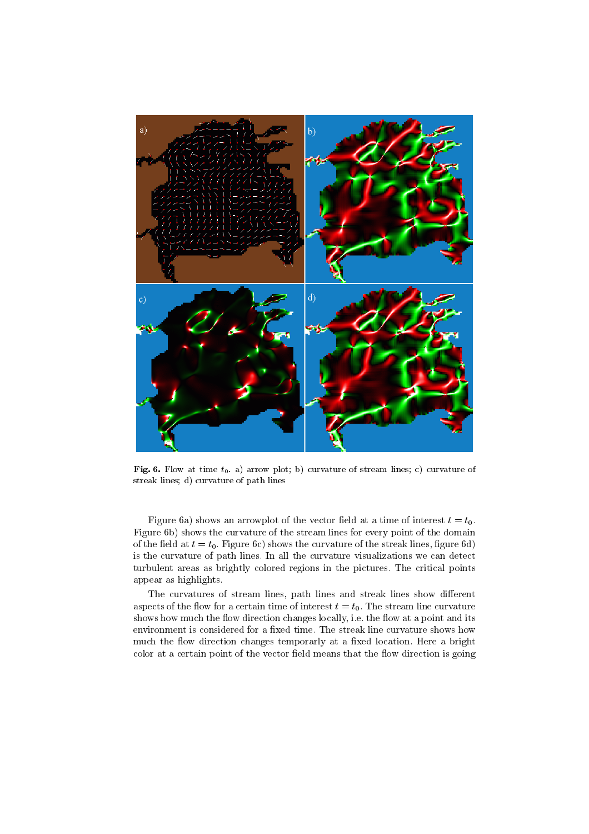

Fig Flow at time t a arrow plot b curvature of stream lines c curvature of streak lines de curvature of path lines of path lines of path lines of path lines of path lines of path lines

Figure 6a) shows an arrowplot of the vector field at a time of interest  $t = t_0$ . Figure 6b) shows the curvature of the stream lines for every point of the domain of the eld at the transfer the streak lines with the streak lines with the streak lines  $\alpha$  at the streak lines  $\alpha$ is the curvature of paths lines we curvature visualizations we consider the curvature visual detections were c turbulent areas as brightly colored regions in the pictures- recording points in the points. appear as highlights-

The curvatures of stream lines, path lines and streak lines show different as pects of the form of the stream lines of interest to the stream line curvature of the stream line curvature shows how the own the own at a changes locally i-recting in the own at a point and its complete  $\sim$ much the own direction changes temporarily at a much fitness model of temporar color at a certain point of the vector field means that the flow direction is going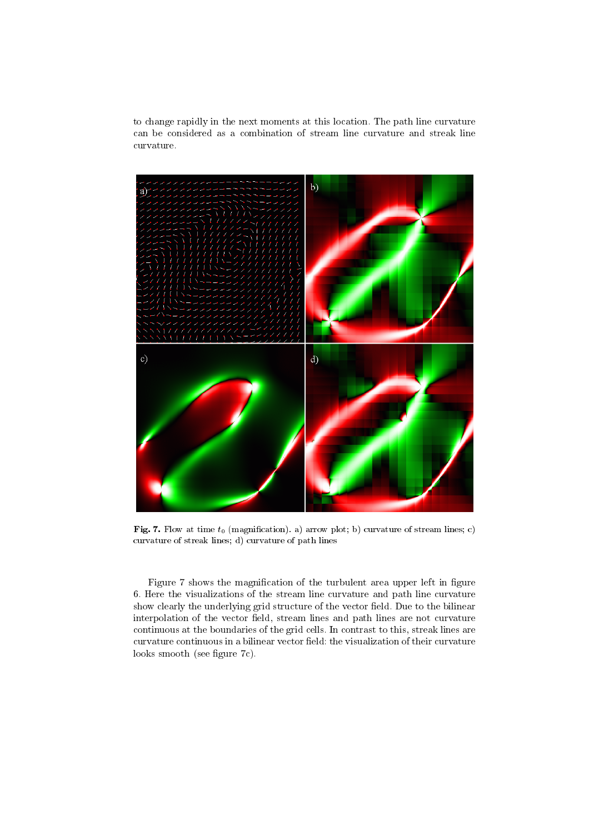to change rapidly in the next moments at this location- The path line curvature can be considered as a combination of stream line curvature and streak line curvature-



 $\mathbf{F} = \mathbf{F} \mathbf{F} \mathbf{F} \mathbf{F} \mathbf{F} \mathbf{F} \mathbf{F} \mathbf{F} \mathbf{F} \mathbf{F} \mathbf{F} \mathbf{F} \mathbf{F} \mathbf{F} \mathbf{F} \mathbf{F} \mathbf{F} \mathbf{F} \mathbf{F} \mathbf{F} \mathbf{F} \mathbf{F} \mathbf{F} \mathbf{F} \mathbf{F} \mathbf{F} \mathbf{F} \mathbf{F} \mathbf{F} \mathbf{F} \mathbf{F} \mathbf{F} \mathbf{F} \mathbf{F} \mathbf{F} \mathbf$ curvature of streak lines design of path lines design of path lines design of path lines design of path lines

Figure 7 shows the magnification of the turbulent area upper left in figure - Here the visualizations of the stream line curvature and path line curvature show clearly the underlying grid structure of the vector eld- Due to the bilinear interpolation of the vector field, stream lines and path lines are not curvature continuous at the boundaries of the grid cells- are contrast to this streak lines are the streak lines. curvature continuous in a bilinear vector field: the visualization of their curvature looks smooth (see figure  $7c$ ).